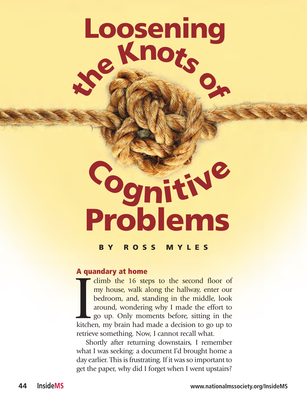# **<sup>t</sup>h<sup>e</sup> <sup>K</sup><sup>n</sup>otso<sup>f</sup> Loosening**

## **Problems <sup>C</sup>ognitiv<sup>e</sup>**

#### **BY ROSS MYLES**

#### **A quandary at home**

The dimb the 16 steps to the second floor of my house, walk along the hallway, enter our bedroom, and, standing in the middle, look around, wondering why I made the effort to go up. Only moments before, sitting in the kitc my house, walk along the hallway, enter our bedroom, and, standing in the middle, look around, wondering why I made the effort to go up. Only moments before, sitting in the kitchen, my brain had made a decision to go up to retrieve something. Now, I cannot recall what.

Shortly after returning downstairs, I remember what I was seeking: a document I'd brought home a day earlier. This is frustrating. If it was so important to get the paper, why did I forget when I went upstairs?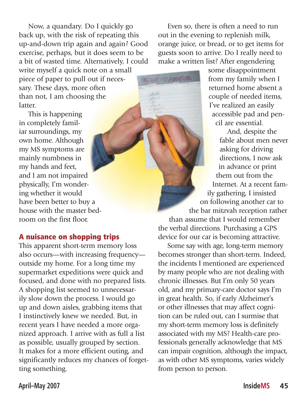Now, a quandary. Do I quickly go back up, with the risk of repeating this up-and-down trip again and again? Good exercise, perhaps, but it does seem to be a bit of wasted time. Alternatively, I could write myself a quick note on a small piece of paper to pull out if necessary. These days, more often than not, I am choosing the latter.

This is happening in completely familiar surroundings, my own home. Although my MS symptoms are mainly numbness in my hands and feet, and I am not impaired physically, I'm wondering whether it would have been better to buy a house with the master bedroom on the first floor.

#### **A nuisance on shopping trips**

This apparent short-term memory loss also occurs—with increasing frequency outside my home. For a long time my supermarket expeditions were quick and focused, and done with no prepared lists. A shopping list seemed to unnecessarily slow down the process. I would go up and down aisles, grabbing items that I instinctively knew we needed. But, in recent years I have needed a more organized approach. I arrive with as full a list as possible, usually grouped by section. It makes for a more efficient outing, and significantly reduces my chances of forgetting something.

Even so, there is often a need to run out in the evening to replenish milk, orange juice, or bread, or to get items for guests soon to arrive. Do I really need to make a written list? After engendering

**Grand Avenue** 

some disappointment from my family when I returned home absent a couple of needed items, I've realized an easily accessible pad and pencil are essential.

And, despite the fable about men never asking for driving directions, I now ask in advance or print them out from the Internet. At a recent family gathering, I insisted on following another car to the bar mitzvah reception rather than assume that I would remember the verbal directions. Purchasing a GPS device for our car is becoming attractive.

Some say with age, long-term memory becomes stronger than short-term. Indeed, the incidents I mentioned are experienced by many people who are not dealing with chronic illnesses. But I'm only 50 years old, and my primary-care doctor says I'm in great health. So, if early Alzheimer's or other illnesses that may affect cognition can be ruled out, can I surmise that my short-term memory loss is definitely associated with my MS? Health-care professionals generally acknowledge that MS can impair cognition, although the impact, as with other MS symptoms, varies widely from person to person.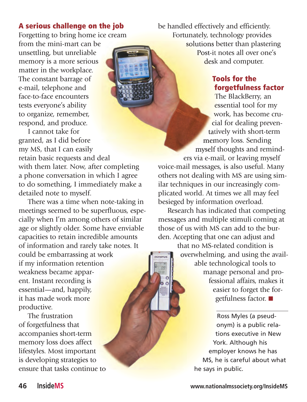#### **A serious challenge on the job**

Forgetting to bring home ice cream

from the mini-mart can be unsettling, but unreliable memory is a more serious matter in the workplace. The constant barrage of e-mail, telephone and face-to-face encounters tests everyone's ability to organize, remember, respond, and produce.

I cannot take for granted, as I did before my MS, that I can easily retain basic requests and deal

with them later. Now, after completing a phone conversation in which I agree to do something, I immediately make a detailed note to myself.

There was a time when note-taking in meetings seemed to be superfluous, especially when I'm among others of similar age or slightly older. Some have enviable capacities to retain incredible amounts of information and rarely take notes. It could be embarrassing at work if my information retention weakness became apparent. Instant recording is essential—and, happily, it has made work more productive.

The frustration of forgetfulness that accompanies short-term memory loss does affect lifestyles. Most important is developing strategies to ensure that tasks continue to be handled effectively and efficiently. Fortunately, technology provides solutions better than plastering Post-it notes all over one's desk and computer.

#### **Tools for the forgetfulness factor**

The BlackBerry, an essential tool for my work, has become crucial for dealing preventatively with short-term memory loss. Sending myself thoughts and reminders via e-mail, or leaving myself voice-mail messages, is also useful. Many

others not dealing with MS are using similar techniques in our increasingly complicated world. At times we all may feel besieged by information overload.

Research has indicated that competing messages and multiple stimuli coming at those of us with MS can add to the burden. Accepting that one can adjust and

> that no MS-related condition is overwhelming, and using the available technological tools to manage personal and professional affairs, makes it easier to forget the forgetfulness factor. ■

> > Ross Myles (a pseudonym) is a public relations executive in New York. Although his employer knows he has MS, he is careful about what he says in public.